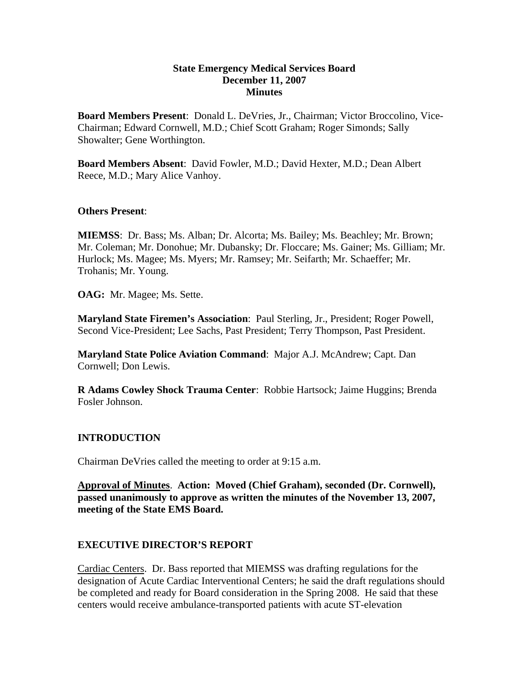## **State Emergency Medical Services Board December 11, 2007 Minutes**

**Board Members Present**: Donald L. DeVries, Jr., Chairman; Victor Broccolino, Vice-Chairman; Edward Cornwell, M.D.; Chief Scott Graham; Roger Simonds; Sally Showalter; Gene Worthington.

**Board Members Absent**: David Fowler, M.D.; David Hexter, M.D.; Dean Albert Reece, M.D.; Mary Alice Vanhoy.

## **Others Present**:

**MIEMSS**: Dr. Bass; Ms. Alban; Dr. Alcorta; Ms. Bailey; Ms. Beachley; Mr. Brown; Mr. Coleman; Mr. Donohue; Mr. Dubansky; Dr. Floccare; Ms. Gainer; Ms. Gilliam; Mr. Hurlock; Ms. Magee; Ms. Myers; Mr. Ramsey; Mr. Seifarth; Mr. Schaeffer; Mr. Trohanis; Mr. Young.

**OAG:** Mr. Magee; Ms. Sette.

**Maryland State Firemen's Association**: Paul Sterling, Jr., President; Roger Powell, Second Vice-President; Lee Sachs, Past President; Terry Thompson, Past President.

**Maryland State Police Aviation Command**: Major A.J. McAndrew; Capt. Dan Cornwell; Don Lewis.

**R Adams Cowley Shock Trauma Center**: Robbie Hartsock; Jaime Huggins; Brenda Fosler Johnson.

## **INTRODUCTION**

Chairman DeVries called the meeting to order at 9:15 a.m.

**Approval of Minutes**. **Action: Moved (Chief Graham), seconded (Dr. Cornwell), passed unanimously to approve as written the minutes of the November 13, 2007, meeting of the State EMS Board.** 

## **EXECUTIVE DIRECTOR'S REPORT**

Cardiac Centers. Dr. Bass reported that MIEMSS was drafting regulations for the designation of Acute Cardiac Interventional Centers; he said the draft regulations should be completed and ready for Board consideration in the Spring 2008. He said that these centers would receive ambulance-transported patients with acute ST-elevation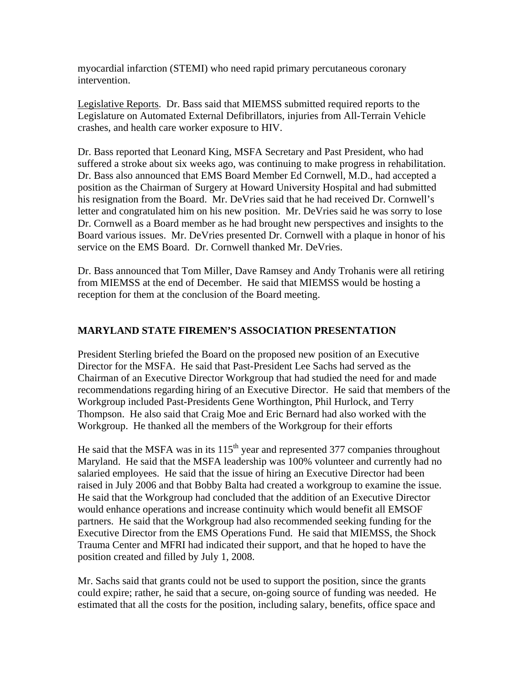myocardial infarction (STEMI) who need rapid primary percutaneous coronary intervention.

Legislative Reports. Dr. Bass said that MIEMSS submitted required reports to the Legislature on Automated External Defibrillators, injuries from All-Terrain Vehicle crashes, and health care worker exposure to HIV.

Dr. Bass reported that Leonard King, MSFA Secretary and Past President, who had suffered a stroke about six weeks ago, was continuing to make progress in rehabilitation. Dr. Bass also announced that EMS Board Member Ed Cornwell, M.D., had accepted a position as the Chairman of Surgery at Howard University Hospital and had submitted his resignation from the Board. Mr. DeVries said that he had received Dr. Cornwell's letter and congratulated him on his new position. Mr. DeVries said he was sorry to lose Dr. Cornwell as a Board member as he had brought new perspectives and insights to the Board various issues. Mr. DeVries presented Dr. Cornwell with a plaque in honor of his service on the EMS Board. Dr. Cornwell thanked Mr. DeVries.

Dr. Bass announced that Tom Miller, Dave Ramsey and Andy Trohanis were all retiring from MIEMSS at the end of December. He said that MIEMSS would be hosting a reception for them at the conclusion of the Board meeting.

# **MARYLAND STATE FIREMEN'S ASSOCIATION PRESENTATION**

President Sterling briefed the Board on the proposed new position of an Executive Director for the MSFA. He said that Past-President Lee Sachs had served as the Chairman of an Executive Director Workgroup that had studied the need for and made recommendations regarding hiring of an Executive Director. He said that members of the Workgroup included Past-Presidents Gene Worthington, Phil Hurlock, and Terry Thompson. He also said that Craig Moe and Eric Bernard had also worked with the Workgroup. He thanked all the members of the Workgroup for their efforts

He said that the MSFA was in its  $115<sup>th</sup>$  year and represented 377 companies throughout Maryland. He said that the MSFA leadership was 100% volunteer and currently had no salaried employees. He said that the issue of hiring an Executive Director had been raised in July 2006 and that Bobby Balta had created a workgroup to examine the issue. He said that the Workgroup had concluded that the addition of an Executive Director would enhance operations and increase continuity which would benefit all EMSOF partners. He said that the Workgroup had also recommended seeking funding for the Executive Director from the EMS Operations Fund. He said that MIEMSS, the Shock Trauma Center and MFRI had indicated their support, and that he hoped to have the position created and filled by July 1, 2008.

Mr. Sachs said that grants could not be used to support the position, since the grants could expire; rather, he said that a secure, on-going source of funding was needed. He estimated that all the costs for the position, including salary, benefits, office space and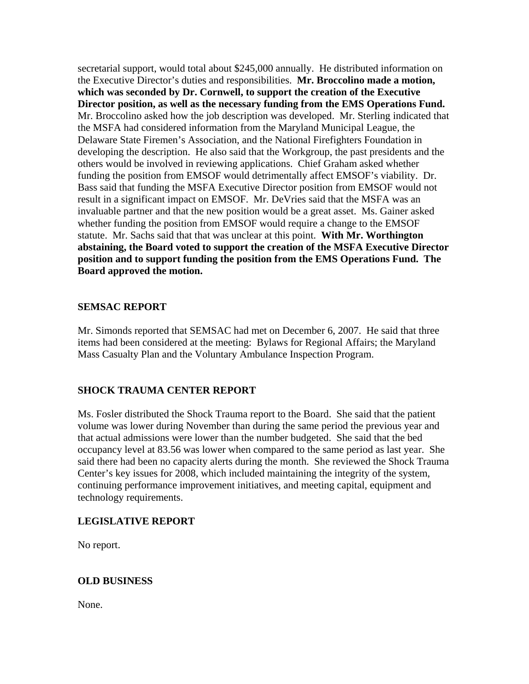secretarial support, would total about \$245,000 annually. He distributed information on the Executive Director's duties and responsibilities. **Mr. Broccolino made a motion, which was seconded by Dr. Cornwell, to support the creation of the Executive Director position, as well as the necessary funding from the EMS Operations Fund.**  Mr. Broccolino asked how the job description was developed. Mr. Sterling indicated that the MSFA had considered information from the Maryland Municipal League, the Delaware State Firemen's Association, and the National Firefighters Foundation in developing the description. He also said that the Workgroup, the past presidents and the others would be involved in reviewing applications. Chief Graham asked whether funding the position from EMSOF would detrimentally affect EMSOF's viability. Dr. Bass said that funding the MSFA Executive Director position from EMSOF would not result in a significant impact on EMSOF. Mr. DeVries said that the MSFA was an invaluable partner and that the new position would be a great asset. Ms. Gainer asked whether funding the position from EMSOF would require a change to the EMSOF statute. Mr. Sachs said that that was unclear at this point. **With Mr. Worthington abstaining, the Board voted to support the creation of the MSFA Executive Director position and to support funding the position from the EMS Operations Fund. The Board approved the motion.** 

## **SEMSAC REPORT**

Mr. Simonds reported that SEMSAC had met on December 6, 2007. He said that three items had been considered at the meeting: Bylaws for Regional Affairs; the Maryland Mass Casualty Plan and the Voluntary Ambulance Inspection Program.

## **SHOCK TRAUMA CENTER REPORT**

Ms. Fosler distributed the Shock Trauma report to the Board. She said that the patient volume was lower during November than during the same period the previous year and that actual admissions were lower than the number budgeted. She said that the bed occupancy level at 83.56 was lower when compared to the same period as last year. She said there had been no capacity alerts during the month. She reviewed the Shock Trauma Center's key issues for 2008, which included maintaining the integrity of the system, continuing performance improvement initiatives, and meeting capital, equipment and technology requirements.

## **LEGISLATIVE REPORT**

No report.

#### **OLD BUSINESS**

None.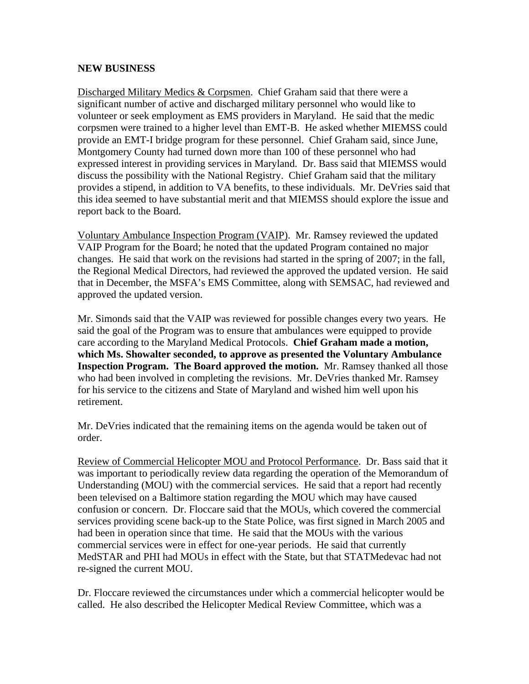## **NEW BUSINESS**

Discharged Military Medics & Corpsmen. Chief Graham said that there were a significant number of active and discharged military personnel who would like to volunteer or seek employment as EMS providers in Maryland. He said that the medic corpsmen were trained to a higher level than EMT-B. He asked whether MIEMSS could provide an EMT-I bridge program for these personnel. Chief Graham said, since June, Montgomery County had turned down more than 100 of these personnel who had expressed interest in providing services in Maryland. Dr. Bass said that MIEMSS would discuss the possibility with the National Registry. Chief Graham said that the military provides a stipend, in addition to VA benefits, to these individuals. Mr. DeVries said that this idea seemed to have substantial merit and that MIEMSS should explore the issue and report back to the Board.

Voluntary Ambulance Inspection Program (VAIP). Mr. Ramsey reviewed the updated VAIP Program for the Board; he noted that the updated Program contained no major changes. He said that work on the revisions had started in the spring of 2007; in the fall, the Regional Medical Directors, had reviewed the approved the updated version. He said that in December, the MSFA's EMS Committee, along with SEMSAC, had reviewed and approved the updated version.

Mr. Simonds said that the VAIP was reviewed for possible changes every two years. He said the goal of the Program was to ensure that ambulances were equipped to provide care according to the Maryland Medical Protocols. **Chief Graham made a motion, which Ms. Showalter seconded, to approve as presented the Voluntary Ambulance Inspection Program. The Board approved the motion.** Mr. Ramsey thanked all those who had been involved in completing the revisions. Mr. DeVries thanked Mr. Ramsey for his service to the citizens and State of Maryland and wished him well upon his retirement.

Mr. DeVries indicated that the remaining items on the agenda would be taken out of order.

Review of Commercial Helicopter MOU and Protocol Performance. Dr. Bass said that it was important to periodically review data regarding the operation of the Memorandum of Understanding (MOU) with the commercial services. He said that a report had recently been televised on a Baltimore station regarding the MOU which may have caused confusion or concern. Dr. Floccare said that the MOUs, which covered the commercial services providing scene back-up to the State Police, was first signed in March 2005 and had been in operation since that time. He said that the MOUs with the various commercial services were in effect for one-year periods. He said that currently MedSTAR and PHI had MOUs in effect with the State, but that STATMedevac had not re-signed the current MOU.

Dr. Floccare reviewed the circumstances under which a commercial helicopter would be called. He also described the Helicopter Medical Review Committee, which was a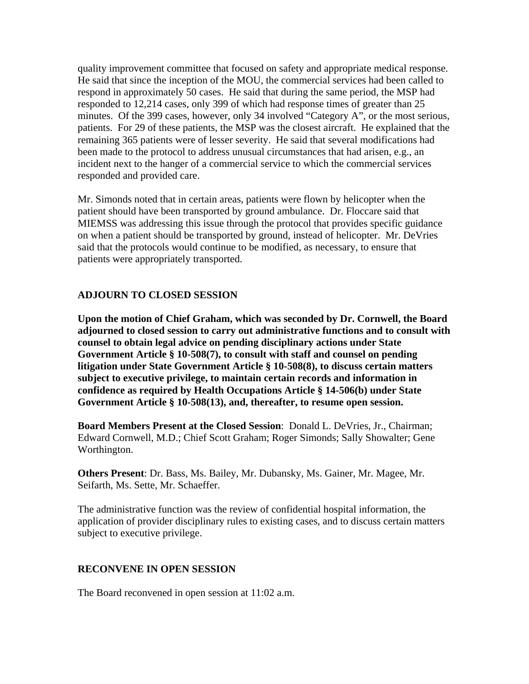quality improvement committee that focused on safety and appropriate medical response. He said that since the inception of the MOU, the commercial services had been called to respond in approximately 50 cases. He said that during the same period, the MSP had responded to 12,214 cases, only 399 of which had response times of greater than 25 minutes. Of the 399 cases, however, only 34 involved "Category A", or the most serious, patients. For 29 of these patients, the MSP was the closest aircraft. He explained that the remaining 365 patients were of lesser severity. He said that several modifications had been made to the protocol to address unusual circumstances that had arisen, e.g., an incident next to the hanger of a commercial service to which the commercial services responded and provided care.

Mr. Simonds noted that in certain areas, patients were flown by helicopter when the patient should have been transported by ground ambulance. Dr. Floccare said that MIEMSS was addressing this issue through the protocol that provides specific guidance on when a patient should be transported by ground, instead of helicopter. Mr. DeVries said that the protocols would continue to be modified, as necessary, to ensure that patients were appropriately transported.

## **ADJOURN TO CLOSED SESSION**

**Upon the motion of Chief Graham, which was seconded by Dr. Cornwell, the Board adjourned to closed session to carry out administrative functions and to consult with counsel to obtain legal advice on pending disciplinary actions under State Government Article § 10-508(7), to consult with staff and counsel on pending litigation under State Government Article § 10-508(8), to discuss certain matters subject to executive privilege, to maintain certain records and information in confidence as required by Health Occupations Article § 14-506(b) under State Government Article § 10-508(13), and, thereafter, to resume open session.** 

**Board Members Present at the Closed Session**: Donald L. DeVries, Jr., Chairman; Edward Cornwell, M.D.; Chief Scott Graham; Roger Simonds; Sally Showalter; Gene Worthington.

**Others Present**: Dr. Bass, Ms. Bailey, Mr. Dubansky, Ms. Gainer, Mr. Magee, Mr. Seifarth, Ms. Sette, Mr. Schaeffer.

The administrative function was the review of confidential hospital information, the application of provider disciplinary rules to existing cases, and to discuss certain matters subject to executive privilege.

#### **RECONVENE IN OPEN SESSION**

The Board reconvened in open session at 11:02 a.m.